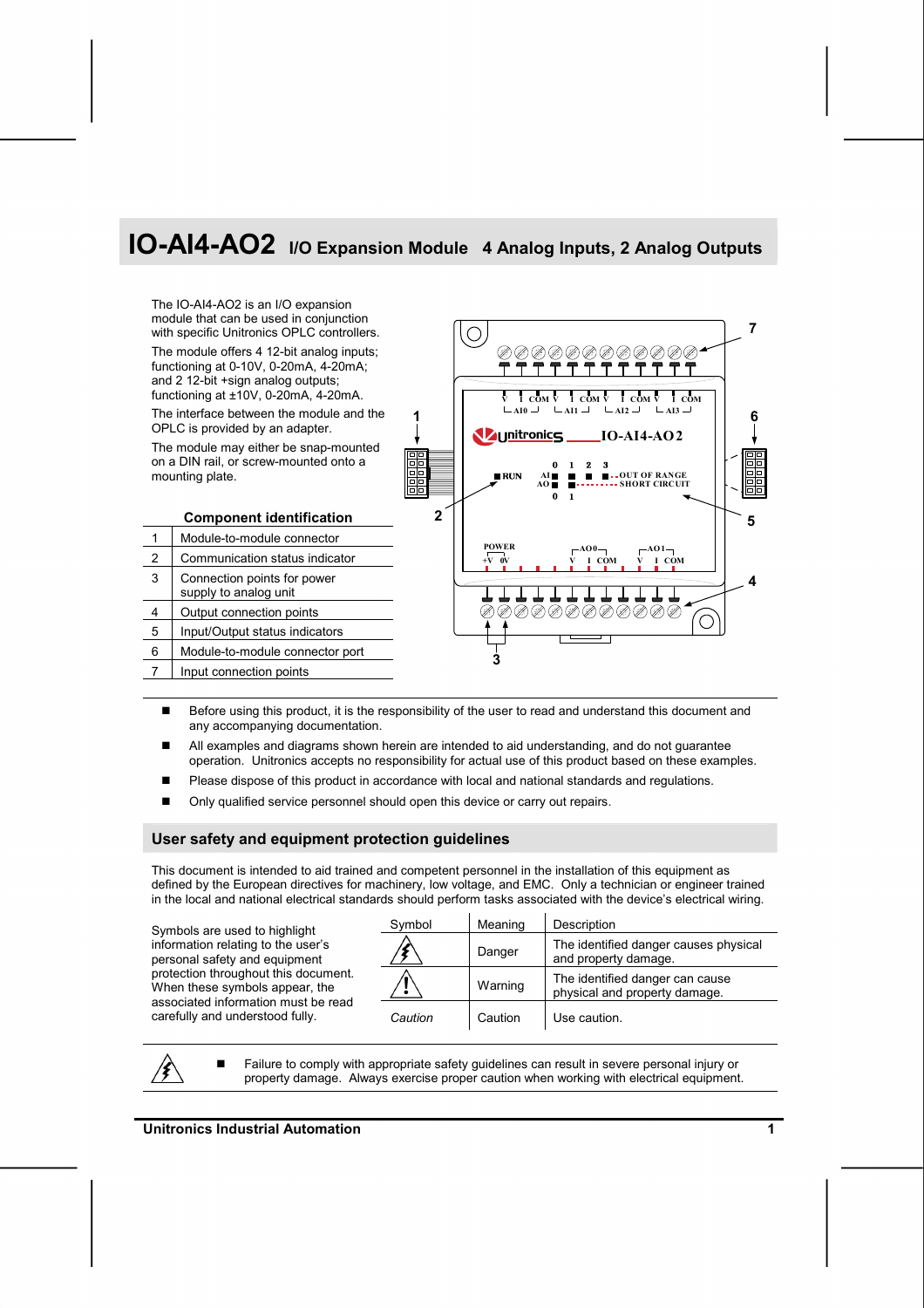# **IO-AI4-AO2 I/O Expansion Module 4 Analog Inputs, 2 Analog Outputs**



- Before using this product, it is the responsibility of the user to read and understand this document and any accompanying documentation.
- All examples and diagrams shown herein are intended to aid understanding, and do not guarantee operation. Unitronics accepts no responsibility for actual use of this product based on these examples.
- **Please dispose of this product in accordance with local and national standards and regulations.**
- Only qualified service personnel should open this device or carry out repairs.

#### **User safety and equipment protection guidelines**

This document is intended to aid trained and competent personnel in the installation of this equipment as defined by the European directives for machinery, low voltage, and EMC. Only a technician or engineer trained in the local and national electrical standards should perform tasks associated with the device's electrical wiring.

Symbols are used to highlight information relating to the user's personal safety and equipment protection throughout this document. When these symbols appear, the associated information must be read carefully and understood fully.

| Symbol  | Meaning | Description                                                      |
|---------|---------|------------------------------------------------------------------|
|         | Danger  | The identified danger causes physical<br>and property damage.    |
|         | Warning | The identified danger can cause<br>physical and property damage. |
| Caution | Caution | Use caution.                                                     |

/Ł

 Failure to comply with appropriate safety guidelines can result in severe personal injury or property damage. Always exercise proper caution when working with electrical equipment.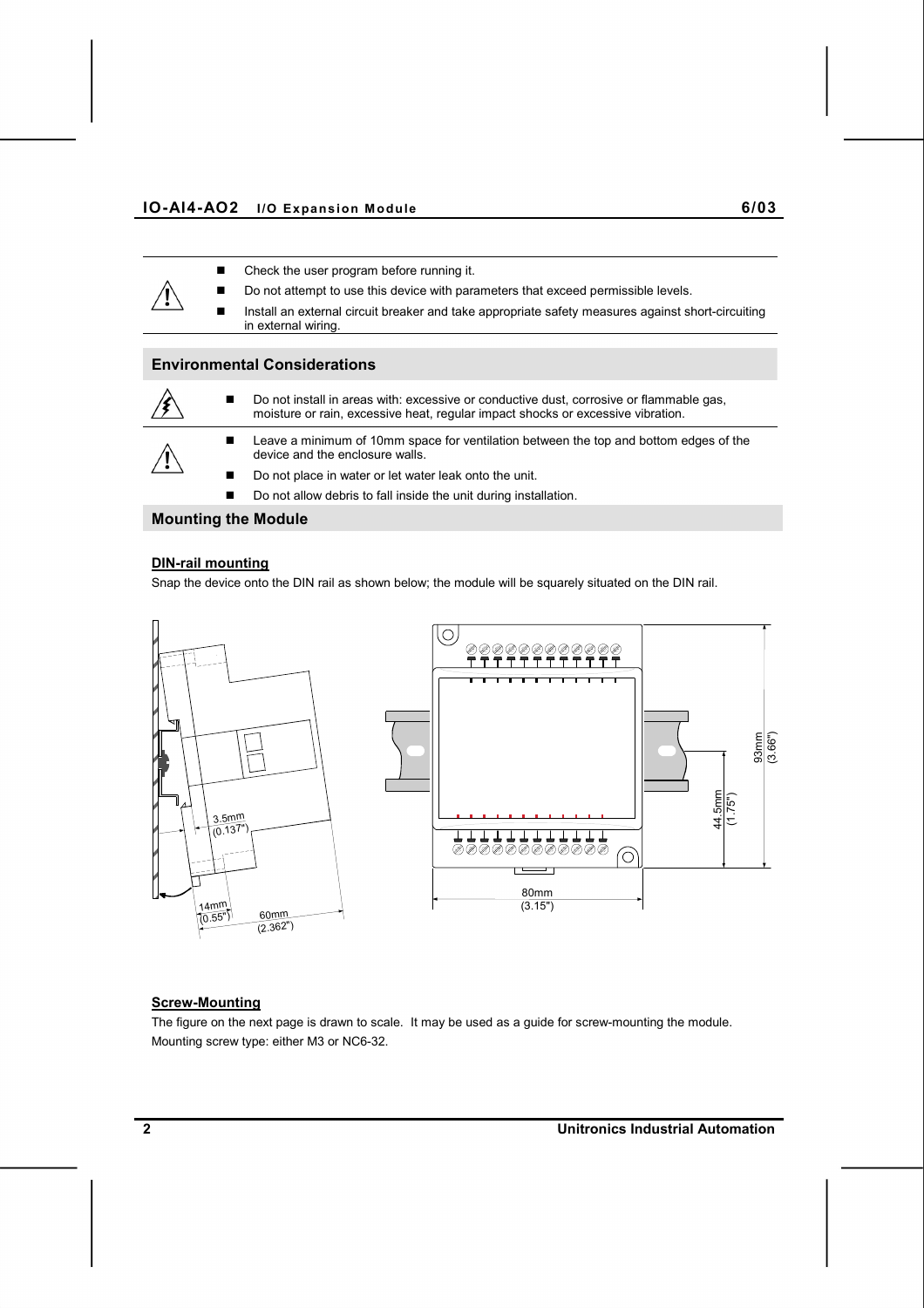- Check the user program before running it.
- Do not attempt to use this device with parameters that exceed permissible levels.
	- Install an external circuit breaker and take appropriate safety measures against short-circuiting in external wiring.

#### **Environmental Considerations**



 Do not install in areas with: excessive or conductive dust, corrosive or flammable gas, moisture or rain, excessive heat, regular impact shocks or excessive vibration.



- Leave a minimum of 10mm space for ventilation between the top and bottom edges of the device and the enclosure walls.
- Do not place in water or let water leak onto the unit.
- Do not allow debris to fall inside the unit during installation.

#### **Mounting the Module**

#### **DIN-rail mounting**

Snap the device onto the DIN rail as shown below; the module will be squarely situated on the DIN rail.



#### **Screw-Mounting**

The figure on the next page is drawn to scale. It may be used as a guide for screw-mounting the module. Mounting screw type: either M3 or NC6-32.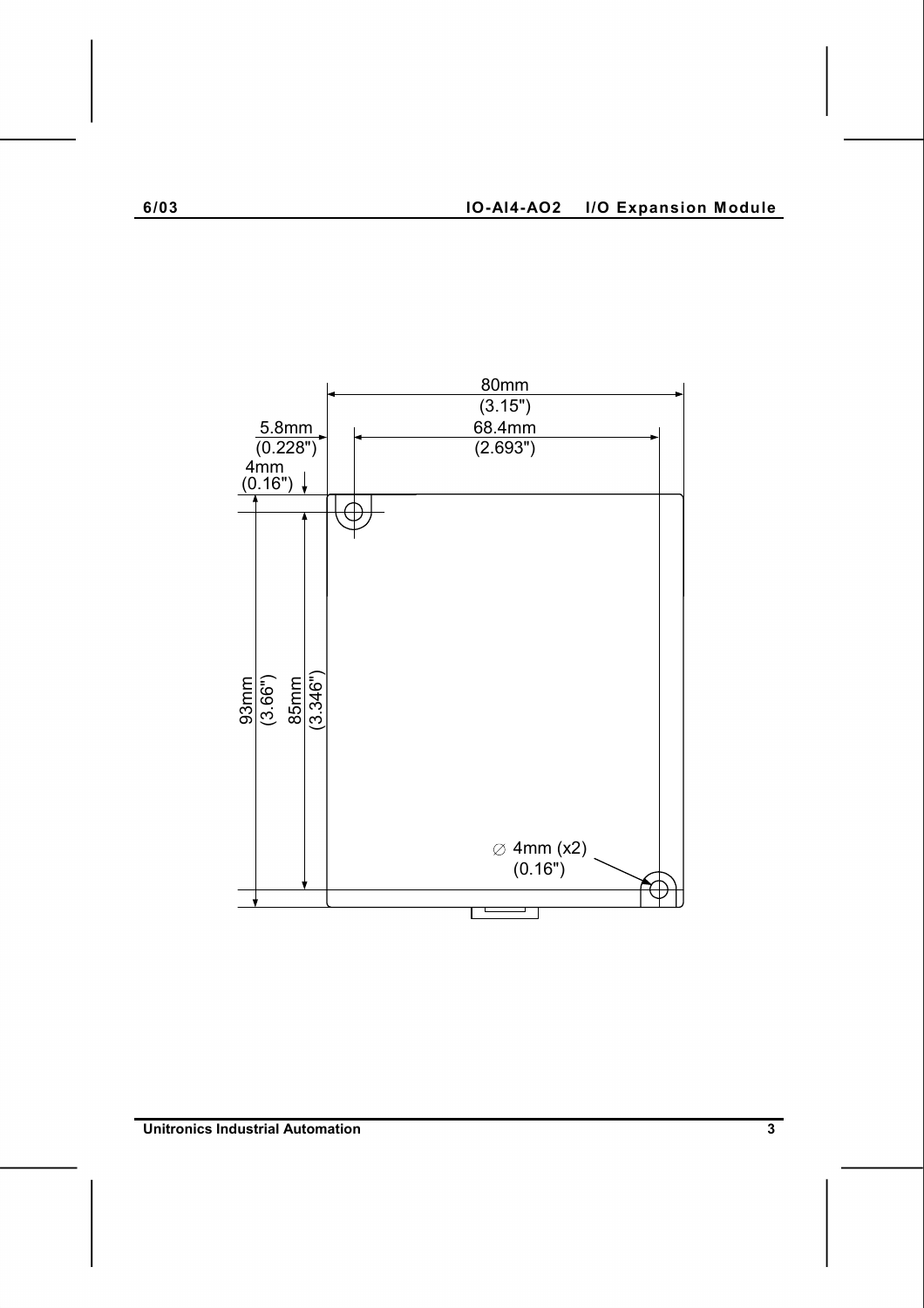

**Unitronics Industrial Automation 3 <b>3**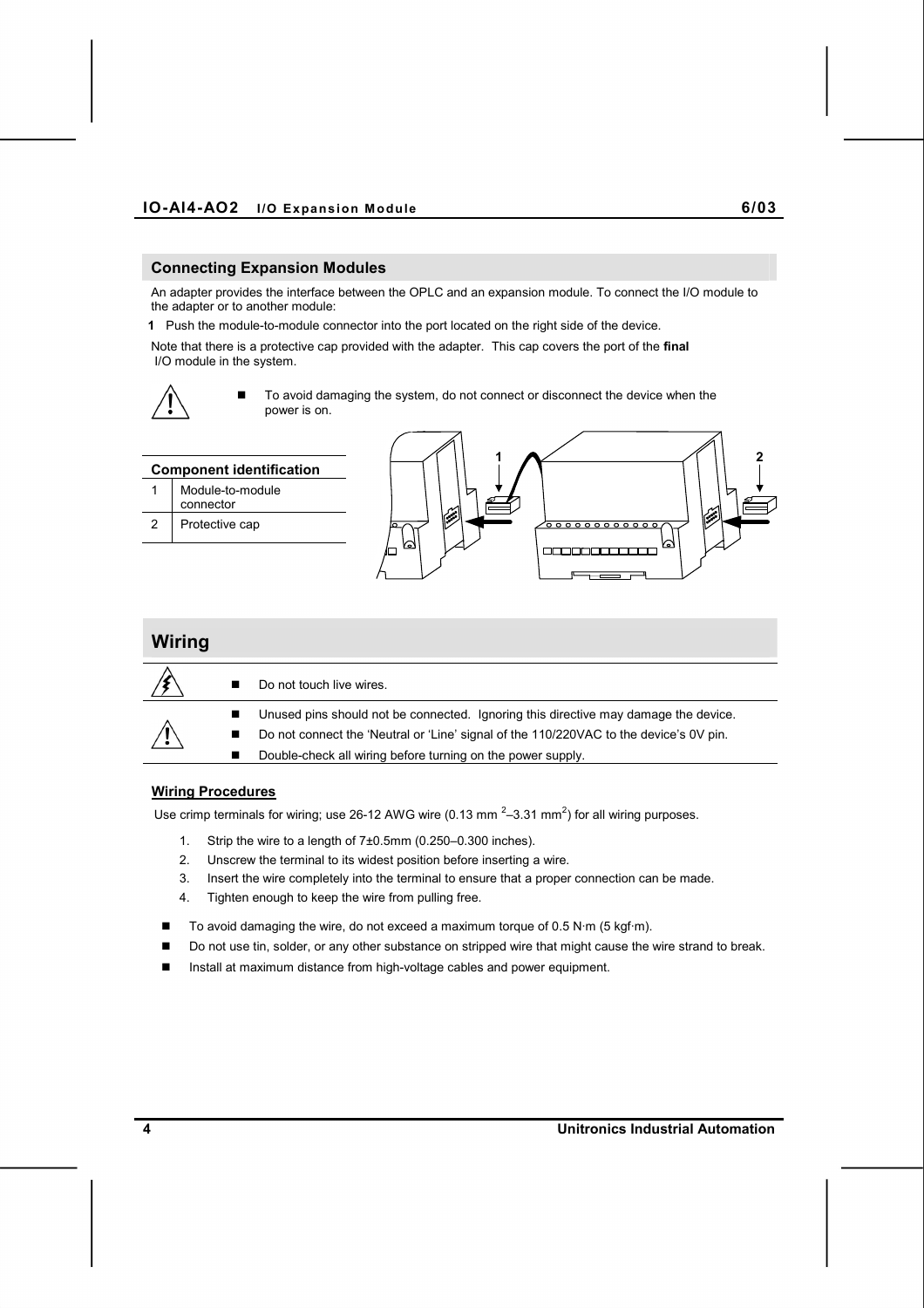#### **Connecting Expansion Modules**

An adapter provides the interface between the OPLC and an expansion module. To connect the I/O module to the adapter or to another module:

**1** Push the module-to-module connector into the port located on the right side of the device.

Note that there is a protective cap provided with the adapter. This cap covers the port of the **final**  I/O module in the system.



 To avoid damaging the system, do not connect or disconnect the device when the power is on.



### **Wiring**  Do not touch live wires. ■ Unused pins should not be connected. Ignoring this directive may damage the device. ■ Do not connect the 'Neutral or 'Line' signal of the 110/220VAC to the device's 0V pin. Double-check all wiring before turning on the power supply.

#### **Wiring Procedures**

Use crimp terminals for wiring; use 26-12 AWG wire (0.13 mm  $^{2}$ –3.31 mm<sup>2</sup>) for all wiring purposes.

- 1. Strip the wire to a length of 7±0.5mm (0.250–0.300 inches).
- 2. Unscrew the terminal to its widest position before inserting a wire.
- 3. Insert the wire completely into the terminal to ensure that a proper connection can be made.
- 4. Tighten enough to keep the wire from pulling free.
- To avoid damaging the wire, do not exceed a maximum torque of 0.5 N·m (5 kgf·m).
- Do not use tin, solder, or any other substance on stripped wire that might cause the wire strand to break.
- Install at maximum distance from high-voltage cables and power equipment.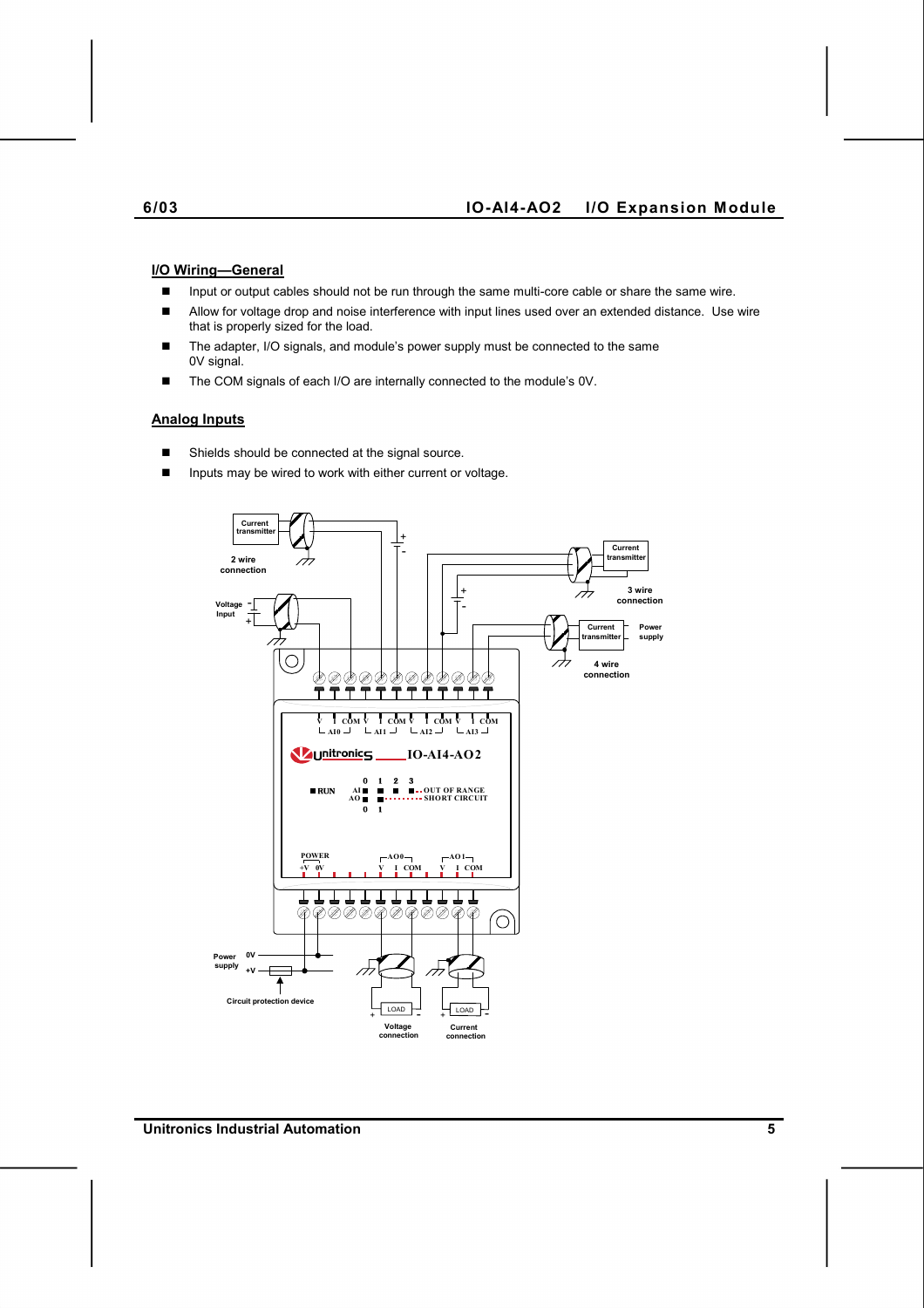#### **6/03 IO-AI4-AO2 I/O Expansion Module**

#### **I/O Wiring—General**

- Input or output cables should not be run through the same multi-core cable or share the same wire.
- Allow for voltage drop and noise interference with input lines used over an extended distance. Use wire that is properly sized for the load.
- The adapter, I/O signals, and module's power supply must be connected to the same 0V signal.
- The COM signals of each I/O are internally connected to the module's 0V.

#### **Analog Inputs**

- Shields should be connected at the signal source.
- Inputs may be wired to work with either current or voltage.

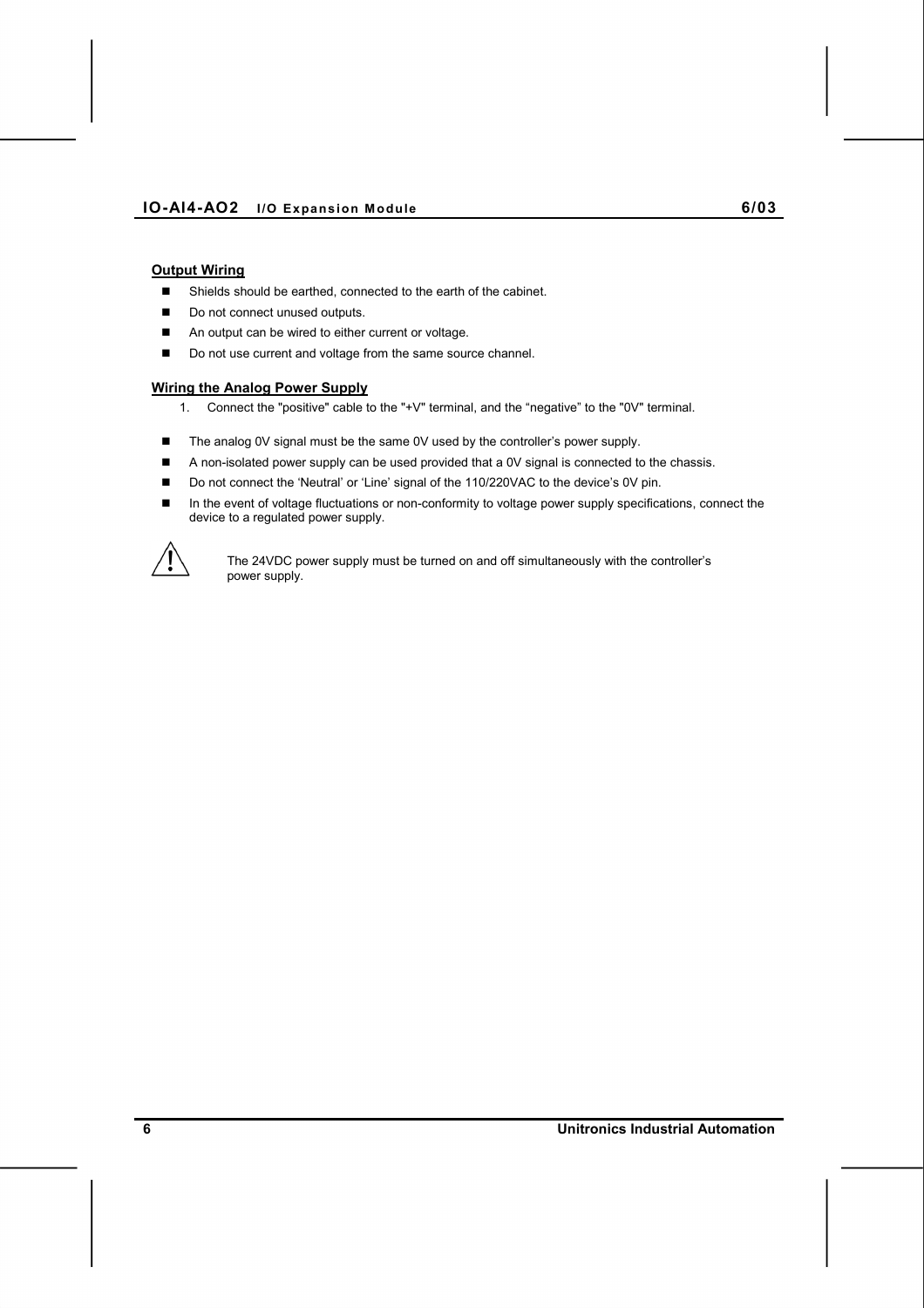#### **Output Wiring**

- Shields should be earthed, connected to the earth of the cabinet.
- Do not connect unused outputs.
- An output can be wired to either current or voltage.
- Do not use current and voltage from the same source channel.

#### **Wiring the Analog Power Supply**

- 1. Connect the "positive" cable to the "+V" terminal, and the "negative" to the "0V" terminal.
- The analog 0V signal must be the same 0V used by the controller's power supply.
- A non-isolated power supply can be used provided that a 0V signal is connected to the chassis.
- Do not connect the 'Neutral' or 'Line' signal of the 110/220VAC to the device's 0V pin.
- In the event of voltage fluctuations or non-conformity to voltage power supply specifications, connect the device to a regulated power supply.



The 24VDC power supply must be turned on and off simultaneously with the controller's power supply.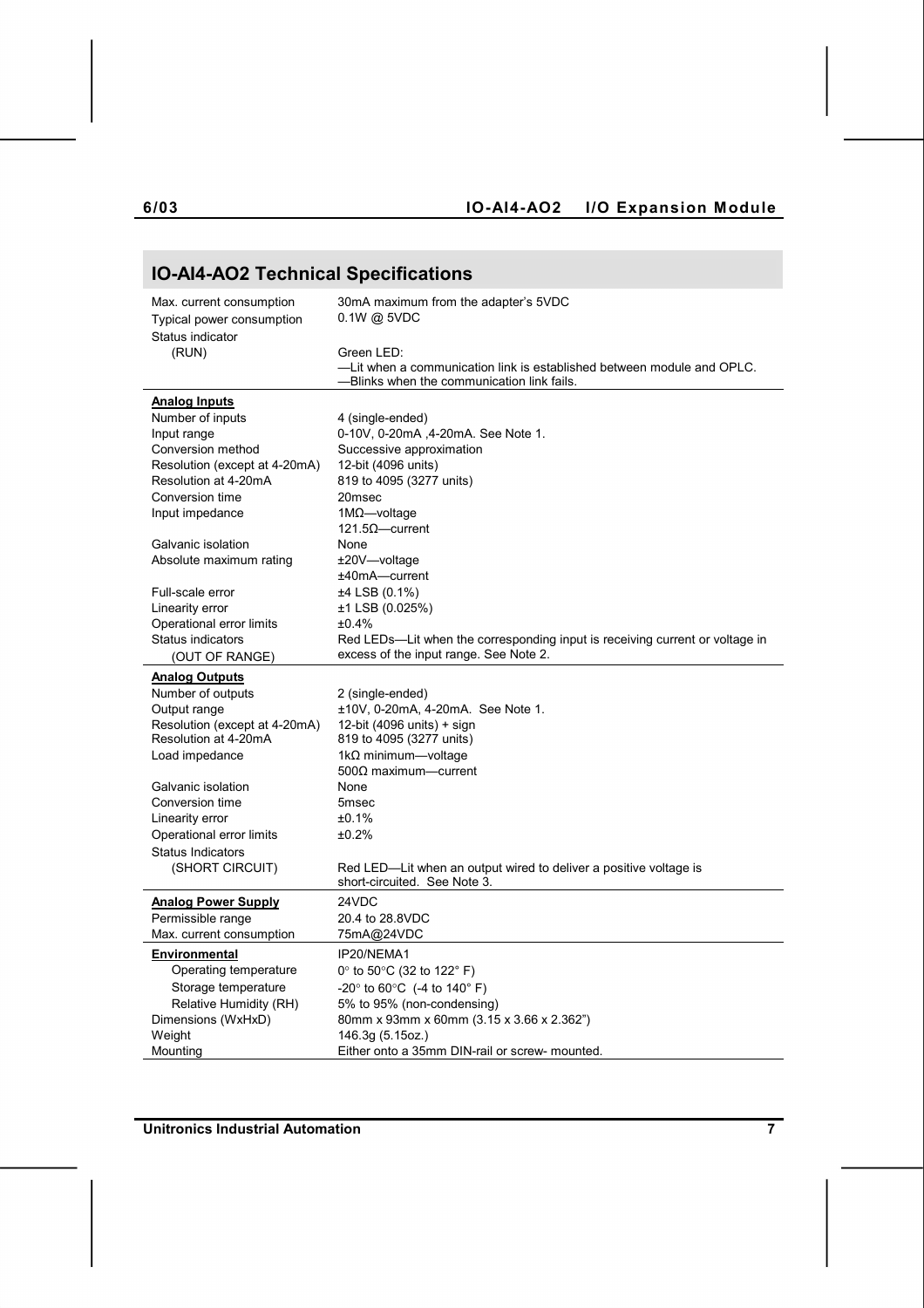### **6/03 IO-AI4-AO2 I/O Expansion Module**

## **IO-AI4-AO2 Technical Specifications**

| Max. current consumption      | 30mA maximum from the adapter's 5VDC                                         |  |
|-------------------------------|------------------------------------------------------------------------------|--|
| Typical power consumption     | $0.1W$ @ 5VDC                                                                |  |
| Status indicator              |                                                                              |  |
| (RUN)                         | Green LED:                                                                   |  |
|                               | -Lit when a communication link is established between module and OPLC.       |  |
|                               | -Blinks when the communication link fails.                                   |  |
| <b>Analog Inputs</b>          |                                                                              |  |
| Number of inputs              | 4 (single-ended)                                                             |  |
| Input range                   | 0-10V, 0-20mA, 4-20mA. See Note 1.                                           |  |
| Conversion method             | Successive approximation                                                     |  |
| Resolution (except at 4-20mA) | 12-bit (4096 units)                                                          |  |
| Resolution at 4-20mA          | 819 to 4095 (3277 units)                                                     |  |
| Conversion time               | 20msec                                                                       |  |
| Input impedance               | $1M\Omega$ -voltage                                                          |  |
|                               | 121.5 $\Omega$ —current                                                      |  |
| Galvanic isolation            | None                                                                         |  |
| Absolute maximum rating       | ±20V—voltage                                                                 |  |
|                               | ±40mA-current                                                                |  |
| Full-scale error              | ±4 LSB (0.1%)                                                                |  |
| Linearity error               | $±1$ LSB (0.025%)                                                            |  |
| Operational error limits      | ±0.4%                                                                        |  |
| <b>Status indicators</b>      | Red LEDs—Lit when the corresponding input is receiving current or voltage in |  |
| (OUT OF RANGE)                | excess of the input range. See Note 2.                                       |  |
| <b>Analog Outputs</b>         |                                                                              |  |
| Number of outputs             | 2 (single-ended)                                                             |  |
| Output range                  | ±10V, 0-20mA, 4-20mA. See Note 1.                                            |  |
| Resolution (except at 4-20mA) | 12-bit (4096 units) + sign                                                   |  |
| Resolution at 4-20mA          | 819 to 4095 (3277 units)                                                     |  |
| Load impedance                | 1k $\Omega$ minimum—voltage                                                  |  |
|                               | $500\Omega$ maximum-current                                                  |  |
| Galvanic isolation            | None                                                                         |  |
| Conversion time               | 5 <sub>msec</sub>                                                            |  |
| Linearity error               | ±0.1%                                                                        |  |
| Operational error limits      | ±0.2%                                                                        |  |
| <b>Status Indicators</b>      |                                                                              |  |
| (SHORT CIRCUIT)               | Red LED—Lit when an output wired to deliver a positive voltage is            |  |
|                               | short-circuited. See Note 3.                                                 |  |
| <b>Analog Power Supply</b>    | 24VDC                                                                        |  |
| Permissible range             | 20.4 to 28.8VDC                                                              |  |
| Max. current consumption      | 75mA@24VDC                                                                   |  |
| <b>Environmental</b>          | IP20/NEMA1                                                                   |  |
| Operating temperature         | 0 $\degree$ to 50 $\degree$ C (32 to 122 $\degree$ F)                        |  |
| Storage temperature           | $-20^{\circ}$ to 60 $^{\circ}$ C (-4 to 140 $^{\circ}$ F)                    |  |
| Relative Humidity (RH)        | 5% to 95% (non-condensing)                                                   |  |
| Dimensions (WxHxD)            | 80mm x 93mm x 60mm (3.15 x 3.66 x 2.362")                                    |  |
| Weight                        | 146.3g (5.15oz.)                                                             |  |
| Mounting                      | Either onto a 35mm DIN-rail or screw- mounted.                               |  |